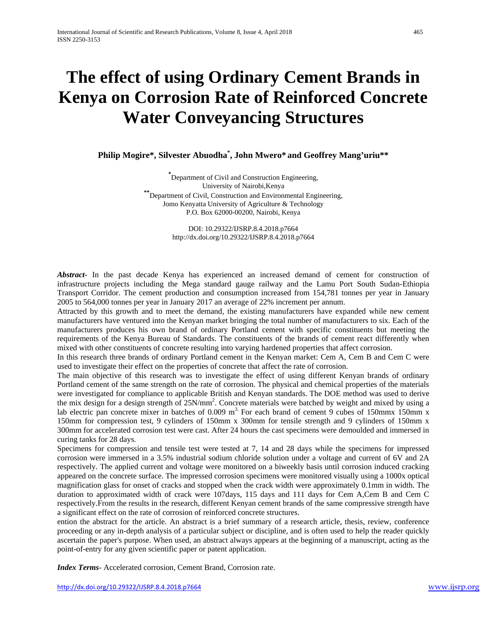## **The effect of using Ordinary Cement Brands in Kenya on Corrosion Rate of Reinforced Concrete Water Conveyancing Structures**

**Philip Mogire\*, Silvester Abuodha\* , John Mwero\* and Geoffrey Mang'uriu\*\*** 

**\*** Department of Civil and Construction Engineering, University of Nairobi,Kenya  $\epsilon$ <sup>\*</sup>Department of Civil, Construction and Environmental Engineering, Jomo Kenyatta University of Agriculture & Technology P.O. Box 62000-00200, Nairobi, Kenya

> DOI: 10.29322/IJSRP.8.4.2018.p7664 <http://dx.doi.org/10.29322/IJSRP.8.4.2018.p7664>

*Abstract***-** In the past decade Kenya has experienced an increased demand of cement for construction of infrastructure projects including the Mega standard gauge railway and the Lamu Port South Sudan-Ethiopia Transport Corridor. The cement production and consumption increased from 154,781 tonnes per year in January 2005 to 564,000 tonnes per year in January 2017 an average of 22% increment per annum.

Attracted by this growth and to meet the demand, the existing manufacturers have expanded while new cement manufacturers have ventured into the Kenyan market bringing the total number of manufacturers to six. Each of the manufacturers produces his own brand of ordinary Portland cement with specific constituents but meeting the requirements of the Kenya Bureau of Standards. The constituents of the brands of cement react differently when mixed with other constituents of concrete resulting into varying hardened properties that affect corrosion.

In this research three brands of ordinary Portland cement in the Kenyan market: Cem A, Cem B and Cem C were used to investigate their effect on the properties of concrete that affect the rate of corrosion.

The main objective of this research was to investigate the effect of using different Kenyan brands of ordinary Portland cement of the same strength on the rate of corrosion. The physical and chemical properties of the materials were investigated for compliance to applicable British and Kenyan standards. The DOE method was used to derive the mix design for a design strength of 25N/mm<sup>2</sup>. Concrete materials were batched by weight and mixed by using a lab electric pan concrete mixer in batches of  $0.009 \text{ m}^3$ . For each brand of cement 9 cubes of 150mm x 150mm x 150mm for compression test, 9 cylinders of 150mm x 300mm for tensile strength and 9 cylinders of 150mm x 300mm for accelerated corrosion test were cast. After 24 hours the cast specimens were demoulded and immersed in curing tanks for 28 days.

Specimens for compression and tensile test were tested at 7, 14 and 28 days while the specimens for impressed corrosion were immersed in a 3.5% industrial sodium chloride solution under a voltage and current of 6V and 2A respectively. The applied current and voltage were monitored on a biweekly basis until corrosion induced cracking appeared on the concrete surface. The impressed corrosion specimens were monitored visually using a 1000x optical magnification glass for onset of cracks and stopped when the crack width were approximately 0.1mm in width. The duration to approximated width of crack were 107days, 115 days and 111 days for Cem A,Cem B and Cem C respectively.From the results in the research, different Kenyan cement brands of the same compressive strength have a significant effect on the rate of corrosion of reinforced concrete structures.

ention the abstract for the article. An abstract is a brief summary of a research article, thesis, review, conference proceeding or any in-depth analysis of a particular subject or discipline, and is often used to help the reader quickly ascertain the paper's purpose. When used, an abstract always appears at the beginning of a manuscript, acting as the point-of-entry for any given scientific paper or patent application.

*Index Terms*- Accelerated corrosion, Cement Brand, Corrosion rate.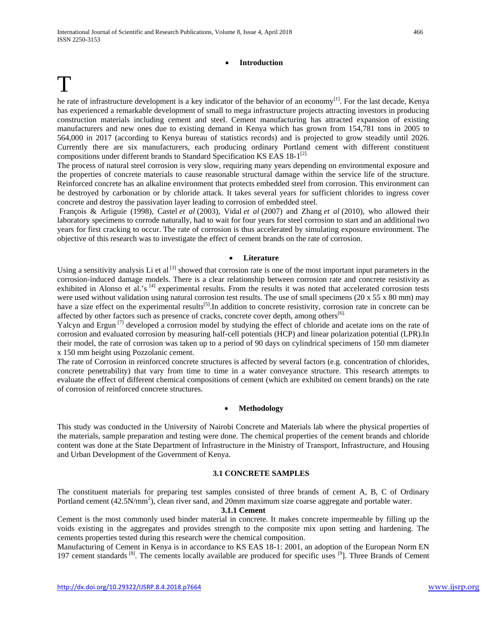#### • **Introduction**

# T

he rate of infrastructure development is a key indicator of the behavior of an economy<sup>[1]</sup>. For the last decade, Kenya has experienced a remarkable development of small to mega infrastructure projects attracting investors in producing construction materials including cement and steel. Cement manufacturing has attracted expansion of existing manufacturers and new ones due to existing demand in Kenya which has grown from 154,781 tons in 2005 to 564,000 in 2017 (according to Kenya bureau of statistics records) and is projected to grow steadily until 2026. Currently there are six manufacturers, each producing ordinary Portland cement with different constituent compositions under different brands to Standard Specification KS EAS  $18-1^{[2]}$ .

The process of natural steel corrosion is very slow, requiring many years depending on environmental exposure and the properties of concrete materials to cause reasonable structural damage within the service life of the structure. Reinforced concrete has an alkaline environment that protects embedded steel from corrosion. This environment can be destroyed by carbonation or by chloride attack. It takes several years for sufficient chlorides to ingress cover concrete and destroy the passivation layer leading to corrosion of embedded steel.

François & Arliguie (1998), Castel *et al* (2003), Vidal *et al* (2007) and Zhang *et al* (2010), who allowed their laboratory specimens to corrode naturally, had to wait for four years for steel corrosion to start and an additional two years for first cracking to occur. The rate of corrosion is thus accelerated by simulating exposure environment. The objective of this research was to investigate the effect of cement brands on the rate of corrosion.

#### • **Literature**

Using a sensitivity analysis Li et al  $^{[3]}$  showed that corrosion rate is one of the most important input parameters in the corrosion-induced damage models. There is a clear relationship between corrosion rate and concrete resistivity as exhibited in Alonso et al.'s [4] experimental results. From the results it was noted that accelerated corrosion tests were used without validation using natural corrosion test results. The use of small specimens (20 x 55 x 80 mm) may have a size effect on the experimental results<sup>[5]</sup>. In addition to concrete resistivity, corrosion rate in concrete can be affected by other factors such as presence of cracks, concrete cover depth, among others<sup>[6].</sup>

Yalcyn and Ergun<sup>[7]</sup> developed a corrosion model by studying the effect of chloride and acetate ions on the rate of corrosion and evaluated corrosion by measuring half-cell potentials (HCP) and linear polarization potential (LPR).In their model, the rate of corrosion was taken up to a period of 90 days on cylindrical specimens of 150 mm diameter x 150 mm height using Pozzolanic cement.

The rate of Corrosion in reinforced concrete structures is affected by several factors (e.g. concentration of chlorides, concrete penetrability) that vary from time to time in a water conveyance structure. This research attempts to evaluate the effect of different chemical compositions of cement (which are exhibited on cement brands) on the rate of corrosion of reinforced concrete structures.

### • **Methodology**

This study was conducted in the University of Nairobi Concrete and Materials lab where the physical properties of the materials, sample preparation and testing were done. The chemical properties of the cement brands and chloride content was done at the State Department of Infrastructure in the Ministry of Transport, Infrastructure, and Housing and Urban Development of the Government of Kenya.

## **3.1 CONCRETE SAMPLES**

The constituent materials for preparing test samples consisted of three brands of cement A, B, C of Ordinary Portland cement (42.5N/mm<sup>2</sup>), clean river sand, and 20mm maximum size coarse aggregate and portable water.

#### **3.1.1 Cement**

Cement is the most commonly used binder material in concrete. It makes concrete impermeable by filling up the voids existing in the aggregates and provides strength to the composite mix upon setting and hardening. The cements properties tested during this research were the chemical composition.

Manufacturing of Cement in Kenya is in accordance to KS EAS 18-1: 2001, an adoption of the European Norm EN 197 cement standards  $[8]$ . The cements locally available are produced for specific uses  $[9]$ . Three Brands of Cement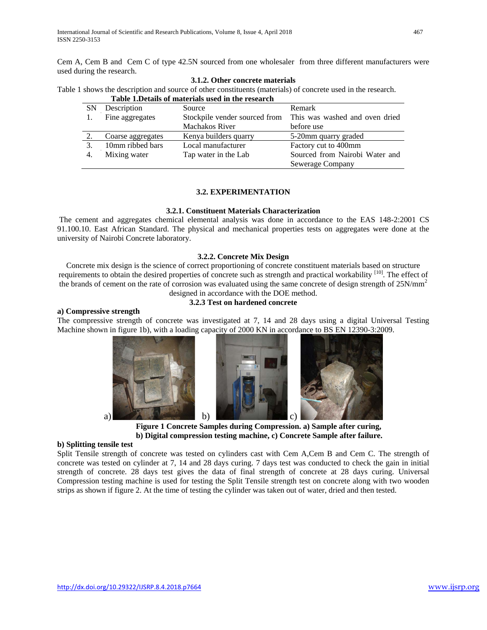Cem A, Cem B and Cem C of type 42.5N sourced from one wholesaler from three different manufacturers were used during the research. **3.1.2. Other concrete materials**

| 3.1.2. Other concrete materials                                                                              |
|--------------------------------------------------------------------------------------------------------------|
| Table 1 shows the description and source of other constituents (materials) of concrete used in the research. |
| Table 1. Details of materials used in the research                                                           |

|           | Table T.Details of materials used in the research |                               |                                |  |  |  |  |  |  |  |
|-----------|---------------------------------------------------|-------------------------------|--------------------------------|--|--|--|--|--|--|--|
| <b>SN</b> | Description                                       | Source                        | Remark                         |  |  |  |  |  |  |  |
| 1.        | Fine aggregates                                   | Stockpile vender sourced from | This was washed and oven dried |  |  |  |  |  |  |  |
|           |                                                   | <b>Machakos River</b>         | before use                     |  |  |  |  |  |  |  |
|           | Coarse aggregates                                 | Kenya builders quarry         | 5-20mm quarry graded           |  |  |  |  |  |  |  |
| 3.        | 10mm ribbed bars                                  | Local manufacturer            | Factory cut to 400mm           |  |  |  |  |  |  |  |
|           | Mixing water                                      | Tap water in the Lab          | Sourced from Nairobi Water and |  |  |  |  |  |  |  |
|           |                                                   |                               | Sewerage Company               |  |  |  |  |  |  |  |

## **3.2. EXPERIMENTATION**

## **3.2.1. Constituent Materials Characterization**

The cement and aggregates chemical elemental analysis was done in accordance to the EAS 148-2:2001 CS 91.100.10. East African Standard. The physical and mechanical properties tests on aggregates were done at the university of Nairobi Concrete laboratory.

## **3.2.2. Concrete Mix Design**

Concrete mix design is the science of correct proportioning of concrete constituent materials based on structure requirements to obtain the desired properties of concrete such as strength and practical workability <sup>[10]</sup>. The effect of the brands of cement on the rate of corrosion was evaluated using the same concrete of design strength of 25N/mm<sup>2</sup> designed in accordance with the DOE method.

## **3.2.3 Test on hardened concrete**

#### **a) Compressive strength**

The compressive strength of concrete was investigated at 7, 14 and 28 days using a digital Universal Testing Machine shown in figure 1b), with a loading capacity of 2000 KN in accordance to BS EN 12390-3:2009.



**Figure 1 Concrete Samples during Compression. a) Sample after curing, b) Digital compression testing machine, c) Concrete Sample after failure.**

## **b) Splitting tensile test**

Split Tensile strength of concrete was tested on cylinders cast with Cem A,Cem B and Cem C. The strength of concrete was tested on cylinder at 7, 14 and 28 days curing. 7 days test was conducted to check the gain in initial strength of concrete. 28 days test gives the data of final strength of concrete at 28 days curing. Universal Compression testing machine is used for testing the Split Tensile strength test on concrete along with two wooden strips as shown if figure 2. At the time of testing the cylinder was taken out of water, dried and then tested.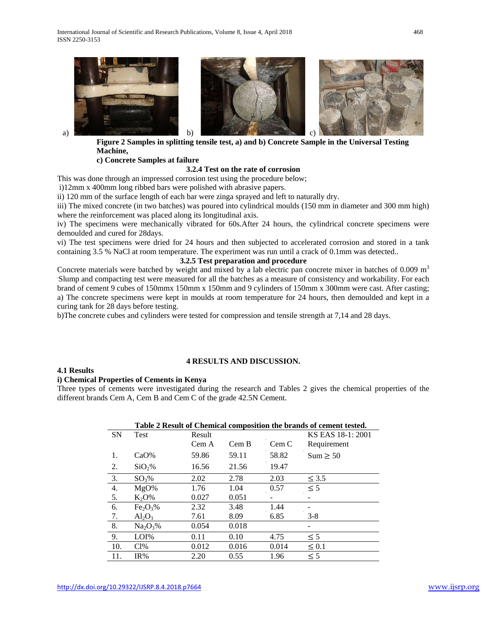

**Figure 2 Samples in splitting tensile test, a) and b) Concrete Sample in the Universal Testing Machine,**

#### **c) Concrete Samples at failure**

## **3.2.4 Test on the rate of corrosion**

This was done through an impressed corrosion test using the procedure below;

i)12mm x 400mm long ribbed bars were polished with abrasive papers.

ii) 120 mm of the surface length of each bar were zinga sprayed and left to naturally dry.

iii) The mixed concrete (in two batches) was poured into cylindrical moulds (150 mm in diameter and 300 mm high) where the reinforcement was placed along its longitudinal axis.

iv) The specimens were mechanically vibrated for 60s.After 24 hours, the cylindrical concrete specimens were demoulded and cured for 28days.

vi) The test specimens were dried for 24 hours and then subjected to accelerated corrosion and stored in a tank containing 3.5 % NaCl at room temperature. The experiment was run until a crack of 0.1mm was detected..

## **3.2.5 Test preparation and procedure**

Concrete materials were batched by weight and mixed by a lab electric pan concrete mixer in batches of 0.009 m<sup>3</sup> . Slump and compacting test were measured for all the batches as a measure of consistency and workability. For each brand of cement 9 cubes of 150mmx 150mm x 150mm and 9 cylinders of 150mm x 300mm were cast. After casting; a) The concrete specimens were kept in moulds at room temperature for 24 hours, then demoulded and kept in a curing tank for 28 days before testing.

b)The concrete cubes and cylinders were tested for compression and tensile strength at 7,14 and 28 days.

#### **4.1 Results**

## **i) Chemical Properties of Cements in Kenya**

Three types of cements were investigated during the research and Tables 2 gives the chemical properties of the different brands Cem A, Cem B and Cem C of the grade 42.5N Cement.

**4 RESULTS AND DISCUSSION.**

|           |                                  |        |       |       | rabic 2 result of Chemical composition are brands of centent tested. |
|-----------|----------------------------------|--------|-------|-------|----------------------------------------------------------------------|
| <b>SN</b> | Test                             | Result |       |       | KS EAS 18-1: 2001                                                    |
|           |                                  | Cem A  | Cem B | Cem C | Requirement                                                          |
| 1.        | $CaO\%$                          | 59.86  | 59.11 | 58.82 | Sum > 50                                                             |
| 2.        | SiO <sub>2</sub> %               | 16.56  | 21.56 | 19.47 |                                                                      |
| 3.        | $SO_3\%$                         | 2.02   | 2.78  | 2.03  | $\leq$ 3.5                                                           |
| 4.        | MgO%                             | 1.76   | 1.04  | 0.57  | $\leq$ 5                                                             |
| 5.        | $K_2O\%$                         | 0.027  | 0.051 |       |                                                                      |
| 6.        | Fe <sub>2</sub> O <sub>3</sub> % | 2.32   | 3.48  | 1.44  |                                                                      |
| 7.        | $Al_2O_3$                        | 7.61   | 8.09  | 6.85  | $3 - 8$                                                              |
| 8.        | $Na_2O_3\%$                      | 0.054  | 0.018 |       |                                                                      |
| 9.        | LOI%                             | 0.11   | 0.10  | 4.75  | $\leq$ 5                                                             |
| 10.       | Cl%                              | 0.012  | 0.016 | 0.014 | $\leq 0.1$                                                           |
| 11.       | IR%                              | 2.20   | 0.55  | 1.96  | $\leq$ 5                                                             |
|           |                                  |        |       |       |                                                                      |

## **Table 2 Result of Chemical composition the brands of cement tested.**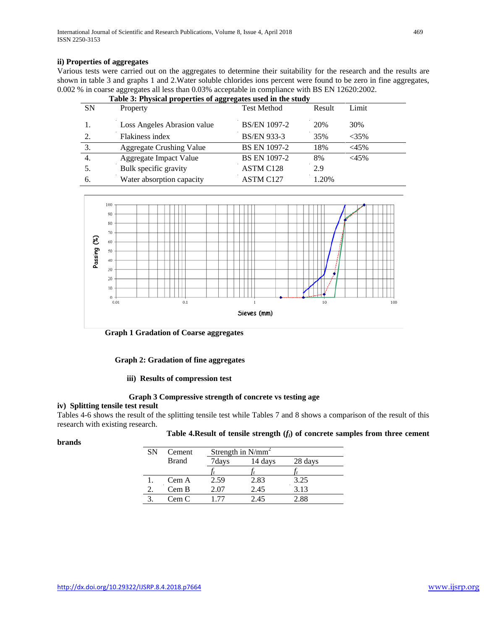## **ii) Properties of aggregates**

Various tests were carried out on the aggregates to determine their suitability for the research and the results are shown in table 3 and graphs 1 and 2.Water soluble chlorides ions percent were found to be zero in fine aggregates, 0.002 % in coarse aggregates all less than 0.03% acceptable in compliance with BS EN 12620:2002.

|           | Table 3: Physical properties of aggregates used in the study |                     |        |               |  |  |  |  |  |  |
|-----------|--------------------------------------------------------------|---------------------|--------|---------------|--|--|--|--|--|--|
| <b>SN</b> | Property                                                     | <b>Test Method</b>  | Result | Limit         |  |  |  |  |  |  |
|           | Loss Angeles Abrasion value                                  | <b>BS/EN 1097-2</b> | 20%    | 30%           |  |  |  |  |  |  |
| 2.        | Flakiness index                                              | <b>BS/EN 933-3</b>  | 35%    | $<35\%$       |  |  |  |  |  |  |
| 3.        | <b>Aggregate Crushing Value</b>                              | <b>BS EN 1097-2</b> | 18%    | $<\!\!45\!\%$ |  |  |  |  |  |  |
| 4.        | <b>Aggregate Impact Value</b>                                | <b>BS EN 1097-2</b> | 8%     | $<\!\!45\!\%$ |  |  |  |  |  |  |
| 5.        | Bulk specific gravity                                        | <b>ASTM C128</b>    | 2.9    |               |  |  |  |  |  |  |
| 6.        | Water absorption capacity                                    | <b>ASTM C127</b>    | 1.20%  |               |  |  |  |  |  |  |



 **Graph 1 Gradation of Coarse aggregates**

## **Graph 2: Gradation of fine aggregates**

## **iii) Results of compression test**

## **Graph 3 Compressive strength of concrete vs testing age**

## **iv) Splitting tensile test result**

Tables 4-6 shows the result of the splitting tensile test while Tables 7 and 8 shows a comparison of the result of this research with existing research.

 **Table 4.Result of tensile strength (***fl***) of concrete samples from three cement** 

#### SN Cement Brand Strength in  $N/mm<sup>2</sup>$ 7days 14 days 28 days  $f_t$  *f<sub>t</sub> f<sub>t</sub> f<sub>t</sub>* 1. Cem A 2.59 2.83 3.25 2. Cem B 2.07 2.45 3.13 3. Cem C 1.77 2.45 2.88

#### **brands**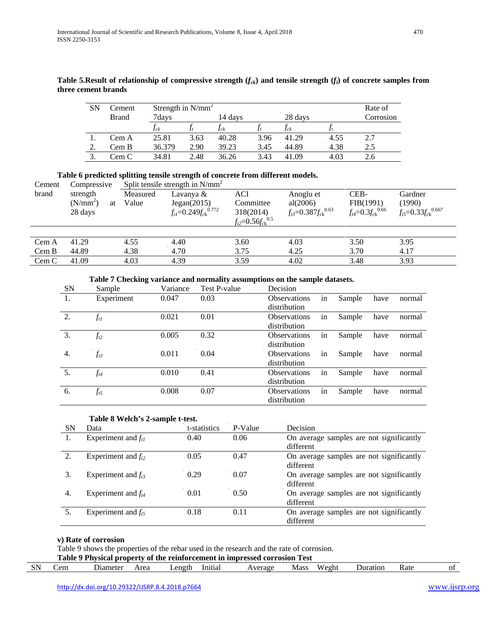| SN | Cement       | Strength in $N/mm^2$ |      |         |      |         |      | Rate of   |
|----|--------------|----------------------|------|---------|------|---------|------|-----------|
|    | <b>Brand</b> | $7 \, \text{days}$   |      | 14 days |      | 28 days |      | Corrosion |
|    |              | .J ck                |      | .J ck   |      | .J ck   |      |           |
|    | Cem A        | 25.81                | 3.63 | 40.28   | 3.96 | 41.29   | 4.55 | 2.7       |
| 2. | Cem B        | 36.379               | 2.90 | 39.23   | 3.45 | 44.89   | 4.38 | 2.5       |
|    | Cem C        | 34.81                | 2.48 | 36.26   | 3.43 | 41.09   | 4.03 | 2.6       |

## Table 5. Result of relationship of compressive strength  $(f_{ck})$  and tensile strength  $(f_l)$  of concrete samples from **three cement brands**

## **Table 6 predicted splitting tensile strength of concrete from different models.**

| Cement | Compressive                                       |                   | Split tensile strength in $N/mm^2$                        |                                                               |                                                            |                                                   |                                                     |
|--------|---------------------------------------------------|-------------------|-----------------------------------------------------------|---------------------------------------------------------------|------------------------------------------------------------|---------------------------------------------------|-----------------------------------------------------|
| brand  | strength<br>(N/mm <sup>2</sup> )<br>at<br>28 days | Measured<br>Value | Lavanya &<br>Jegan(2015)<br>$f_{t} = 0.249 f_{c}^{0.772}$ | ACI<br>Committee<br>318(2014)<br>$f_{t2} = 0.56 f_{ck}^{0.5}$ | Anoglu et<br>al $(2006)$<br>$f_{t3} = 0.387 f_{ck}^{0.63}$ | CEB-<br>FIB(1991)<br>$f_{t4} = 0.3 f_{ck}^{0.66}$ | Gardner<br>(1990)<br>$f_{t5} = 0.33 f_{ck}^{0.667}$ |
| Cem A  | 41.29                                             | 4.55              | 4.40                                                      | 3.60                                                          | 4.03                                                       | 3.50                                              | 3.95                                                |
| Cem B  | 44.89                                             | 4.38              | 4.70                                                      | 3.75                                                          | 4.25                                                       | 3.70                                              | 4.17                                                |
| Cem C  | 41.09                                             | 4.03              | 4.39                                                      | 3.59                                                          | 4.02                                                       | 3.48                                              | 3.93                                                |

|           | Table 7 Checking variance and normality assumptions on the sample datasets. |          |                     |                                     |    |        |      |        |  |  |
|-----------|-----------------------------------------------------------------------------|----------|---------------------|-------------------------------------|----|--------|------|--------|--|--|
| <b>SN</b> | Sample                                                                      | Variance | <b>Test P-value</b> | Decision                            |    |        |      |        |  |  |
| 1.        | Experiment                                                                  | 0.047    | 0.03                | <b>Observations</b><br>distribution | in | Sample | have | normal |  |  |
| 2.        | $f_{tl}$                                                                    | 0.021    | 0.01                | <b>Observations</b><br>distribution | in | Sample | have | normal |  |  |
| 3.        | $f_{t2}$                                                                    | 0.005    | 0.32                | <b>Observations</b><br>distribution | in | Sample | have | normal |  |  |
| 4.        | $f_{t3}$                                                                    | 0.011    | 0.04                | <b>Observations</b><br>distribution | in | Sample | have | normal |  |  |
| 5.        | $f_{t4}$                                                                    | 0.010    | 0.41                | <b>Observations</b><br>distribution | in | Sample | have | normal |  |  |
| 6.        | $f_{t5}$                                                                    | 0.008    | 0.07                | <b>Observations</b><br>distribution | in | Sample | have | normal |  |  |

|           | Table 8 Welch's 2-sample t-test. |              |         |                                                       |
|-----------|----------------------------------|--------------|---------|-------------------------------------------------------|
| <b>SN</b> | Data                             | t-statistics | P-Value | Decision                                              |
| 1.        | Experiment and $f_{tl}$          | 0.40         | 0.06    | On average samples are not significantly<br>different |
|           | Experiment and $f_{t2}$          | 0.05         | 0.47    | On average samples are not significantly<br>different |
| 3.        | Experiment and $f_{t3}$          | 0.29         | 0.07    | On average samples are not significantly<br>different |
| 4.        | Experiment and $f_{t4}$          | 0.01         | 0.50    | On average samples are not significantly<br>different |
|           | Experiment and $f_{t5}$          | 0.18         | 0.11    | On average samples are not significantly<br>different |

## **v) Rate of corrosion**

Table 9 shows the properties of the rebar used in the research and the rate of corrosion.

**Table 9 Physical property of the reinforcement in impressed corrosion Test**

| <b>CN</b><br>We<br>enøth<br>∖ohì<br>'nΥ<br>$\cdots$<br>)11r<br>Initia.<br>A/Lace<br>erage<br>. atıor<br>mere. |  |
|---------------------------------------------------------------------------------------------------------------|--|
| rau<br>леа<br>יוכ<br>7 L CL 3<br>ヽ、、、、」                                                                       |  |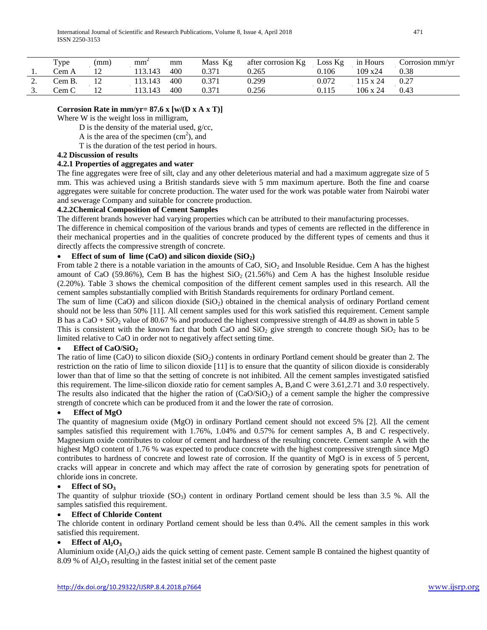|          | T <sub>VDE</sub> | (mm) | mm     | mm  | Mass Kg | after corrosion Kg | Loss $Kg$ | in Hours          | Corrosion mm/vr |
|----------|------------------|------|--------|-----|---------|--------------------|-----------|-------------------|-----------------|
| . .      | ∑em A            |      | 13.143 | 400 | 0.371   | 0.265              | 0.106     | $109 \text{ x}24$ | 0.38            |
| <u>.</u> | $CemB$ .         |      | 13.143 | 400 | 0.371   | 0.299              | 0.072     | 15 x 24           | 0.27            |
| J.       | Cem C            |      | 13.143 | 400 | 0.371   | 0.256              | 0.115     | $106 \times 24$   | 0.43            |

## **Corrosion Rate in mm/yr= 87.6 x [w/(D x A x T)]**

Where W is the weight loss in milligram,

D is the density of the material used, g/cc,

A is the area of the specimen  $(cm<sup>2</sup>)$ , and

T is the duration of the test period in hours.

## **4.2 Discussion of results**

## **4.2.1 Properties of aggregates and water**

The fine aggregates were free of silt, clay and any other deleterious material and had a maximum aggregate size of 5 mm. This was achieved using a British standards sieve with 5 mm maximum aperture. Both the fine and coarse aggregates were suitable for concrete production. The water used for the work was potable water from Nairobi water and sewerage Company and suitable for concrete production.

## **4.2.2Chemical Composition of Cement Samples**

The different brands however had varying properties which can be attributed to their manufacturing processes.

The difference in chemical composition of the various brands and types of cements are reflected in the difference in their mechanical properties and in the qualities of concrete produced by the different types of cements and thus it directly affects the compressive strength of concrete.

## **Effect of sum of lime (CaO) and silicon dioxide (SiO<sub>2</sub>)**

From table 2 there is a notable variation in the amounts of CaO,  $SiO<sub>2</sub>$  and Insoluble Residue. Cem A has the highest amount of CaO (59.86%), Cem B has the highest  $SiO<sub>2</sub>$  (21.56%) and Cem A has the highest Insoluble residue (2.20%). Table 3 shows the chemical composition of the different cement samples used in this research. All the cement samples substantially complied with British Standards requirements for ordinary Portland cement.

The sum of lime (CaO) and silicon dioxide  $(SiO<sub>2</sub>)$  obtained in the chemical analysis of ordinary Portland cement should not be less than 50% [11]. All cement samples used for this work satisfied this requirement. Cement sample B has a  $CaO + SiO<sub>2</sub>$  value of 80.67 % and produced the highest compressive strength of 44.89 as shown in table 5

This is consistent with the known fact that both CaO and  $SiO<sub>2</sub>$  give strength to concrete though  $SiO<sub>2</sub>$  has to be limited relative to CaO in order not to negatively affect setting time.

## **Effect of CaO/SiO**

The ratio of lime (CaO) to silicon dioxide (SiO<sub>2</sub>) contents in ordinary Portland cement should be greater than 2. The restriction on the ratio of lime to silicon dioxide [11] is to ensure that the quantity of silicon dioxide is considerably lower than that of lime so that the setting of concrete is not inhibited. All the cement samples investigated satisfied this requirement. The lime-silicon dioxide ratio for cement samples A, B,and C were 3.61,2.71 and 3.0 respectively. The results also indicated that the higher the ration of  $(CaO/SiO<sub>2</sub>)$  of a cement sample the higher the compressive strength of concrete which can be produced from it and the lower the rate of corrosion.

## • **Effect of MgO**

The quantity of magnesium oxide (MgO) in ordinary Portland cement should not exceed 5% [2]. All the cement samples satisfied this requirement with 1.76%, 1.04% and 0.57% for cement samples A, B and C respectively. Magnesium oxide contributes to colour of cement and hardness of the resulting concrete. Cement sample A with the highest MgO content of 1.76 % was expected to produce concrete with the highest compressive strength since MgO contributes to hardness of concrete and lowest rate of corrosion. If the quantity of MgO is in excess of 5 percent, cracks will appear in concrete and which may affect the rate of corrosion by generating spots for penetration of chloride ions in concrete.

## **Effect of SO<sub>3</sub>**

The quantity of sulphur trioxide  $(SO_3)$  content in ordinary Portland cement should be less than 3.5 %. All the samples satisfied this requirement.

## • **Effect of Chloride Content**

The chloride content in ordinary Portland cement should be less than 0.4%. All the cement samples in this work satisfied this requirement.

## • **Effect of**  $AI_2O_3$

Aluminium oxide  $(A_2O_3)$  aids the quick setting of cement paste. Cement sample B contained the highest quantity of 8.09 % of  $Al_2O_3$  resulting in the fastest initial set of the cement paste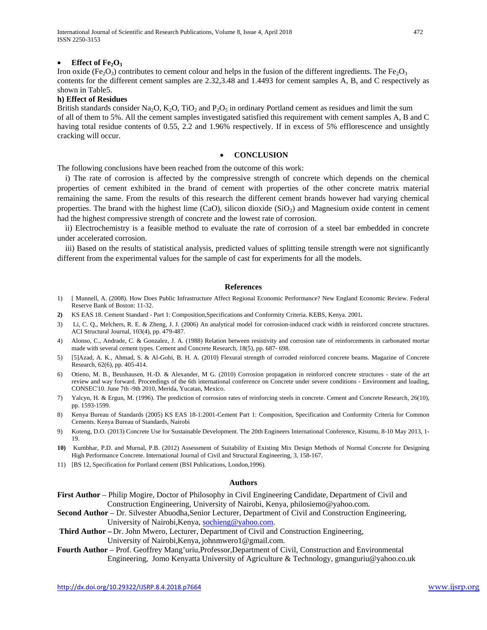#### **Effect of Fe<sub>2</sub>O<sub>3</sub>**

Iron oxide (Fe<sub>2</sub>O<sub>3</sub>) contributes to cement colour and helps in the fusion of the different ingredients. The Fe<sub>2</sub>O<sub>3</sub> contents for the different cement samples are 2.32,3.48 and 1.4493 for cement samples A, B, and C respectively as shown in Table5.

#### **h) Effect of Residues**

British standards consider Na<sub>2</sub>O, K<sub>2</sub>O, TiO<sub>2</sub> and P<sub>2</sub>O<sub>5</sub> in ordinary Portland cement as residues and limit the sum of all of them to 5%. All the cement samples investigated satisfied this requirement with cement samples A, B and C having total residue contents of 0.55, 2.2 and 1.96% respectively. If in excess of 5% efflorescence and unsightly cracking will occur.

#### • **CONCLUSION**

The following conclusions have been reached from the outcome of this work:

i) The rate of corrosion is affected by the compressive strength of concrete which depends on the chemical properties of cement exhibited in the brand of cement with properties of the other concrete matrix material remaining the same. From the results of this research the different cement brands however had varying chemical properties. The brand with the highest lime  $(CaO)$ , silicon dioxide  $(SiO<sub>2</sub>)$  and Magnesium oxide content in cement had the highest compressive strength of concrete and the lowest rate of corrosion.

ii) Electrochemistry is a feasible method to evaluate the rate of corrosion of a steel bar embedded in concrete under accelerated corrosion.

iii) Based on the results of statistical analysis, predicted values of splitting tensile strength were not significantly different from the experimental values for the sample of cast for experiments for all the models.

### **References**

- 1) [ Munnell, A. (2008). How Does Public Infrastructure Affect Regional Economic Performance? New England Economic Review. Federal Reserve Bank of Boston: 11-32.
- **2)** KS EAS 18. Cement Standard Part 1: Composition,Specifications and Conformity Criteria. KEBS, Kenya. 2001**.**
- 3) Li, C. Q., Melchers, R. E. & Zheng, J. J. (2006) An analytical model for corrosion-induced crack width in reinforced concrete structures. ACI Structural Journal, 103(4), pp. 479-487.
- 4) Alonso, C., Andrade, C. & Gonzalez, J. A. (1988) Relation between resistivity and corrosion rate of reinforcements in carbonated mortar made with several cement types. Cement and Concrete Research, 18(5), pp. 687- 698.
- 5) [5]Azad, A. K., Ahmad, S. & Al-Gohi, B. H. A. (2010) Flexural strength of corroded reinforced concrete beams. Magazine of Concrete Research, 62(6), pp. 405-414.
- 6) Otieno, M. B., Beushausen, H.-D. & Alexander, M G. (2010) Corrosion propagation in reinforced concrete structures state of the art review and way forward. Proceedings of the 6th international conference on Concrete under severe conditions - Environment and loading, CONSEC'10. June 7th -9th 2010, Merida, Yucatan, Mexico.
- 7) Yalcyn, H. & Ergun, M. (1996). The prediction of corrosion rates of reinforcing steels in concrete. Cement and Concrete Research, 26(10), pp. 1593-1599.
- 8) Kenya Bureau of Standards (2005) KS EAS 18-1:2001-Cement Part 1: Composition, Specification and Conformity Criteria for Common Cements. Kenya Bureau of Standards, Nairobi
- 9) Koteng, D.O. (2013) Concrete Use for Sustainable Development. The 20th Engineers International Conference, Kisumu, 8-10 May 2013, 1- 19.
- **10)** Kumbhar, P.D. and Murnal, P.B. (2012) Assessment of Suitability of Existing Mix Design Methods of Normal Concrete for Designing High Performance Concrete. International Journal of Civil and Structural Engineering, 3, 158-167.
- 11) [BS 12, Specification for Portland cement (BSI Publications, London,1996).

#### **Authors**

**First Author** – Philip Mogire, Doctor of Philosophy in Civil Engineering Candidate, Department of Civil and Construction Engineering, University of Nairobi, Kenya, philosiemo@yahoo.com.

**Second Author** – Dr. Silvester Abuodha,Senior Lecturer, Department of Civil and Construction Engineering, University of Nairobi,Kenya[, sochieng@yahoo.com.](mailto:sochieng@yahoo.com)

- **Third Author –** Dr. John Mwero, Lecturer, Department of Civil and Construction Engineering, University of Nairobi,Kenya, johnmwero1@gmail.com.
- **Fourth Author**  Prof. Geoffrey Mang'uriu,Professor,Department of Civil, Construction and Environmental Engineering, Jomo Kenyatta University of Agriculture & Technology, gmanguriu@yahoo.co.uk